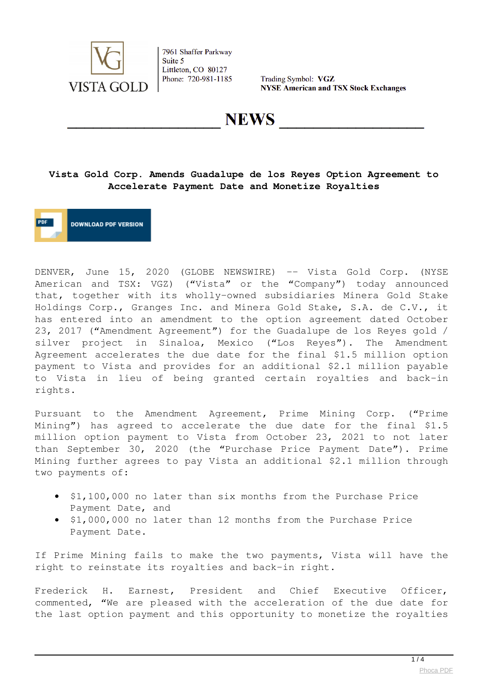

Trading Symbol: VGZ **NYSE American and TSX Stock Exchanges** 

**NEWS** 

## **Vista Gold Corp. Amends Guadalupe de los Reyes Option Agreement to Accelerate Payment Date and Monetize Royalties**

**DOWNLOAD PDF VERSION** 

DENVER, June 15, 2020 (GLOBE NEWSWIRE) -- Vista Gold Corp. (NYSE American and TSX: VGZ) ("Vista" or the "Company") today announced that, together with its wholly-owned subsidiaries Minera Gold Stake Holdings Corp., Granges Inc. and Minera Gold Stake, S.A. de C.V., it has entered into an amendment to the option agreement dated October 23, 2017 ("Amendment Agreement") for the Guadalupe de los Reyes gold / silver project in Sinaloa, Mexico ("Los Reyes"). The Amendment Agreement accelerates the due date for the final \$1.5 million option payment to Vista and provides for an additional \$2.1 million payable to Vista in lieu of being granted certain royalties and back-in rights.

Pursuant to the Amendment Agreement, Prime Mining Corp. ("Prime Mining") has agreed to accelerate the due date for the final \$1.5 million option payment to Vista from October 23, 2021 to not later than September 30, 2020 (the "Purchase Price Payment Date"). Prime Mining further agrees to pay Vista an additional \$2.1 million through two payments of:

- \$1,100,000 no later than six months from the Purchase Price Payment Date, and
- \$1,000,000 no later than 12 months from the Purchase Price Payment Date.

If Prime Mining fails to make the two payments, Vista will have the right to reinstate its royalties and back-in right.

Frederick H. Earnest, President and Chief Executive Officer, commented, "We are pleased with the acceleration of the due date for the last option payment and this opportunity to monetize the royalties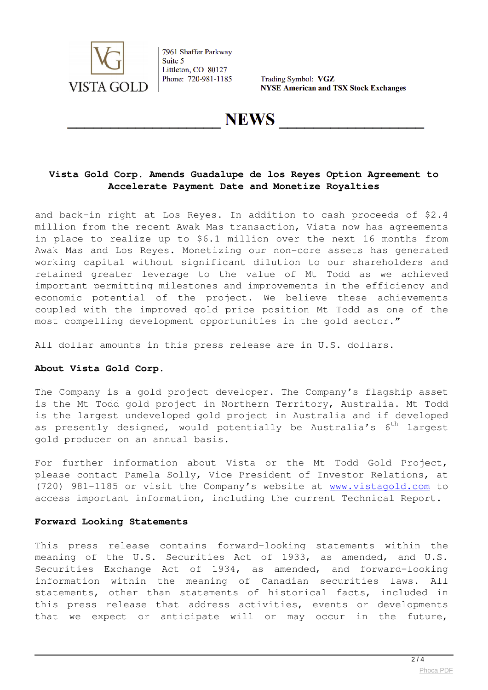

Trading Symbol: VGZ **NYSE American and TSX Stock Exchanges** 

## **NEWS**

## **Vista Gold Corp. Amends Guadalupe de los Reyes Option Agreement to Accelerate Payment Date and Monetize Royalties**

and back-in right at Los Reyes. In addition to cash proceeds of \$2.4 million from the recent Awak Mas transaction, Vista now has agreements in place to realize up to \$6.1 million over the next 16 months from Awak Mas and Los Reyes. Monetizing our non-core assets has generated working capital without significant dilution to our shareholders and retained greater leverage to the value of Mt Todd as we achieved important permitting milestones and improvements in the efficiency and economic potential of the project. We believe these achievements coupled with the improved gold price position Mt Todd as one of the most compelling development opportunities in the gold sector."

All dollar amounts in this press release are in U.S. dollars.

### **About Vista Gold Corp.**

The Company is a gold project developer. The Company's flagship asset is the Mt Todd gold project in Northern Territory, Australia. Mt Todd is the largest undeveloped gold project in Australia and if developed as presently designed, would potentially be Australia's  $6<sup>th</sup>$  largest gold producer on an annual basis.

For further information about Vista or the Mt Todd Gold Project, please contact Pamela Solly, Vice President of Investor Relations, at (720) 981-1185 or visit the Company's website at [www.vistagold.com](https://www.globenewswire.com/Tracker?data=WCSgZT-OOKCQDBTWKj3EZU9VzWc9z3ktCeF-fp3akrYNQ8vXSy7D858amtG36ZChx8cV9Enoqs8AJPrQJQYbVw==) to access important information, including the current Technical Report.

#### **Forward Looking Statements**

This press release contains forward-looking statements within the meaning of the U.S. Securities Act of 1933, as amended, and U.S. Securities Exchange Act of 1934, as amended, and forward-looking information within the meaning of Canadian securities laws. All statements, other than statements of historical facts, included in this press release that address activities, events or developments that we expect or anticipate will or may occur in the future,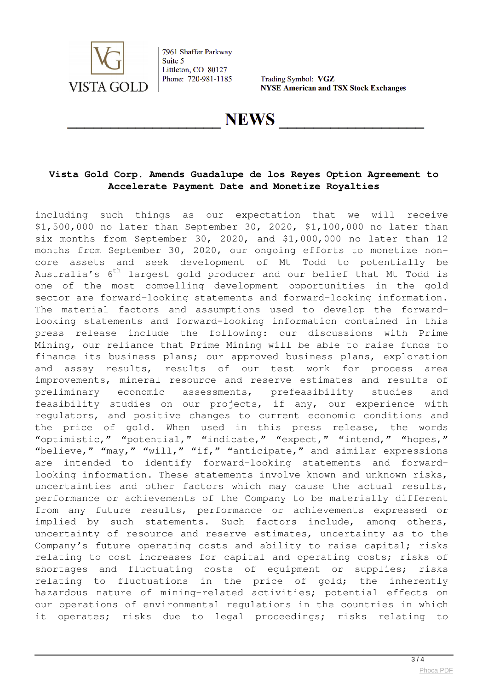

Trading Symbol: VGZ **NYSE American and TSX Stock Exchanges** 

## **NEWS**

## **Vista Gold Corp. Amends Guadalupe de los Reyes Option Agreement to Accelerate Payment Date and Monetize Royalties**

including such things as our expectation that we will receive \$1,500,000 no later than September 30, 2020, \$1,100,000 no later than six months from September 30, 2020, and \$1,000,000 no later than 12 months from September 30, 2020, our ongoing efforts to monetize noncore assets and seek development of Mt Todd to potentially be Australia's  $6^{th}$  largest gold producer and our belief that Mt Todd is one of the most compelling development opportunities in the gold sector are forward-looking statements and forward-looking information. The material factors and assumptions used to develop the forwardlooking statements and forward-looking information contained in this press release include the following: our discussions with Prime Mining, our reliance that Prime Mining will be able to raise funds to finance its business plans; our approved business plans, exploration and assay results, results of our test work for process area improvements, mineral resource and reserve estimates and results of preliminary economic assessments, prefeasibility studies and feasibility studies on our projects, if any, our experience with regulators, and positive changes to current economic conditions and the price of gold. When used in this press release, the words "optimistic," "potential," "indicate," "expect," "intend," "hopes," "believe," "may," "will," "if," "anticipate," and similar expressions are intended to identify forward-looking statements and forwardlooking information. These statements involve known and unknown risks, uncertainties and other factors which may cause the actual results, performance or achievements of the Company to be materially different from any future results, performance or achievements expressed or implied by such statements. Such factors include, among others, uncertainty of resource and reserve estimates, uncertainty as to the Company's future operating costs and ability to raise capital; risks relating to cost increases for capital and operating costs; risks of shortages and fluctuating costs of equipment or supplies; risks relating to fluctuations in the price of gold; the inherently hazardous nature of mining-related activities; potential effects on our operations of environmental regulations in the countries in which it operates; risks due to legal proceedings; risks relating to